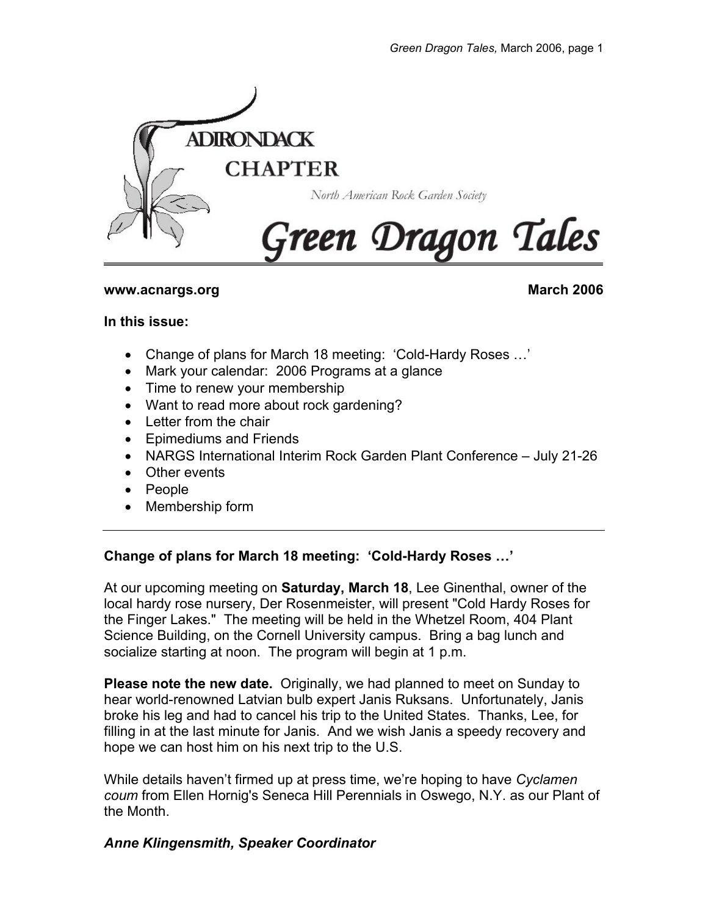

### **www.acnargs.org March 2006**

#### **In this issue:**

- Change of plans for March 18 meeting: 'Cold-Hardy Roses …'
- Mark your calendar: 2006 Programs at a glance
- Time to renew your membership
- Want to read more about rock gardening?
- Letter from the chair
- Epimediums and Friends
- NARGS International Interim Rock Garden Plant Conference July 21-26
- Other events
- People
- Membership form

## **Change of plans for March 18 meeting: 'Cold-Hardy Roses …'**

At our upcoming meeting on **Saturday, March 18**, Lee Ginenthal, owner of the local hardy rose nursery, Der Rosenmeister, will present "Cold Hardy Roses for the Finger Lakes." The meeting will be held in the Whetzel Room, 404 Plant Science Building, on the Cornell University campus. Bring a bag lunch and socialize starting at noon. The program will begin at 1 p.m.

**Please note the new date.** Originally, we had planned to meet on Sunday to hear world-renowned Latvian bulb expert Janis Ruksans. Unfortunately, Janis broke his leg and had to cancel his trip to the United States. Thanks, Lee, for filling in at the last minute for Janis. And we wish Janis a speedy recovery and hope we can host him on his next trip to the U.S.

While details haven't firmed up at press time, we're hoping to have *Cyclamen coum* from Ellen Hornig's Seneca Hill Perennials in Oswego, N.Y. as our Plant of the Month.

## *Anne Klingensmith, Speaker Coordinator*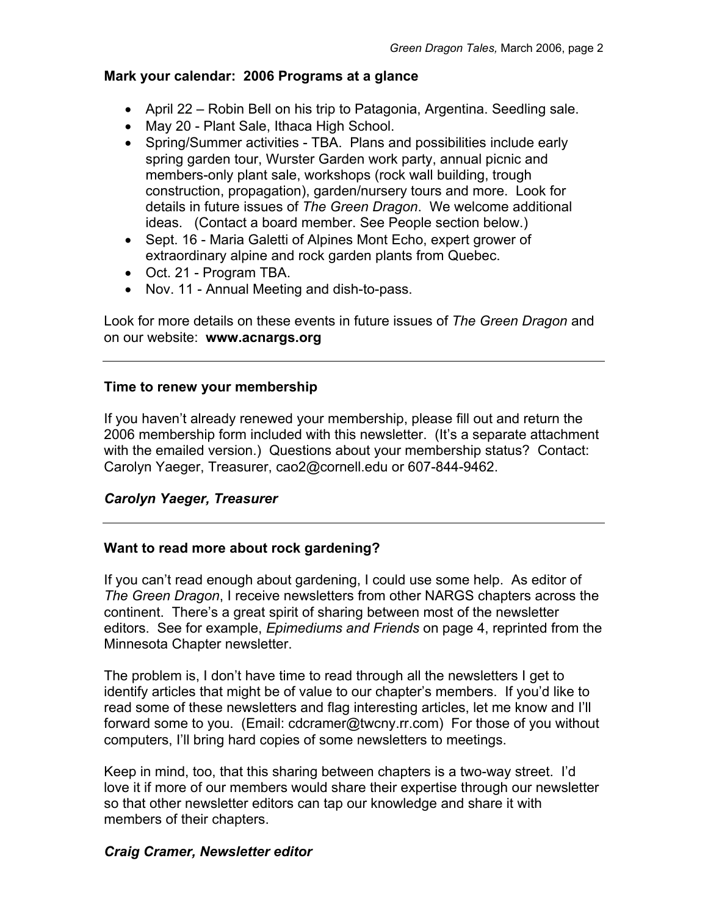### **Mark your calendar: 2006 Programs at a glance**

- April 22 Robin Bell on his trip to Patagonia, Argentina. Seedling sale.
- May 20 Plant Sale, Ithaca High School.
- Spring/Summer activities TBA. Plans and possibilities include early spring garden tour, Wurster Garden work party, annual picnic and members-only plant sale, workshops (rock wall building, trough construction, propagation), garden/nursery tours and more. Look for details in future issues of *The Green Dragon*. We welcome additional ideas. (Contact a board member. See People section below.)
- Sept. 16 Maria Galetti of Alpines Mont Echo, expert grower of extraordinary alpine and rock garden plants from Quebec.
- Oct. 21 Program TBA.
- Nov. 11 Annual Meeting and dish-to-pass.

Look for more details on these events in future issues of *The Green Dragon* and on our website: **www.acnargs.org**

### **Time to renew your membership**

If you haven't already renewed your membership, please fill out and return the 2006 membership form included with this newsletter. (It's a separate attachment with the emailed version.) Questions about your membership status? Contact: Carolyn Yaeger, Treasurer, cao2@cornell.edu or 607-844-9462.

## *Carolyn Yaeger, Treasurer*

## **Want to read more about rock gardening?**

If you can't read enough about gardening, I could use some help. As editor of *The Green Dragon*, I receive newsletters from other NARGS chapters across the continent. There's a great spirit of sharing between most of the newsletter editors. See for example, *Epimediums and Friends* on page 4, reprinted from the Minnesota Chapter newsletter.

The problem is, I don't have time to read through all the newsletters I get to identify articles that might be of value to our chapter's members. If you'd like to read some of these newsletters and flag interesting articles, let me know and I'll forward some to you. (Email: cdcramer@twcny.rr.com) For those of you without computers, I'll bring hard copies of some newsletters to meetings.

Keep in mind, too, that this sharing between chapters is a two-way street. I'd love it if more of our members would share their expertise through our newsletter so that other newsletter editors can tap our knowledge and share it with members of their chapters.

## *Craig Cramer, Newsletter editor*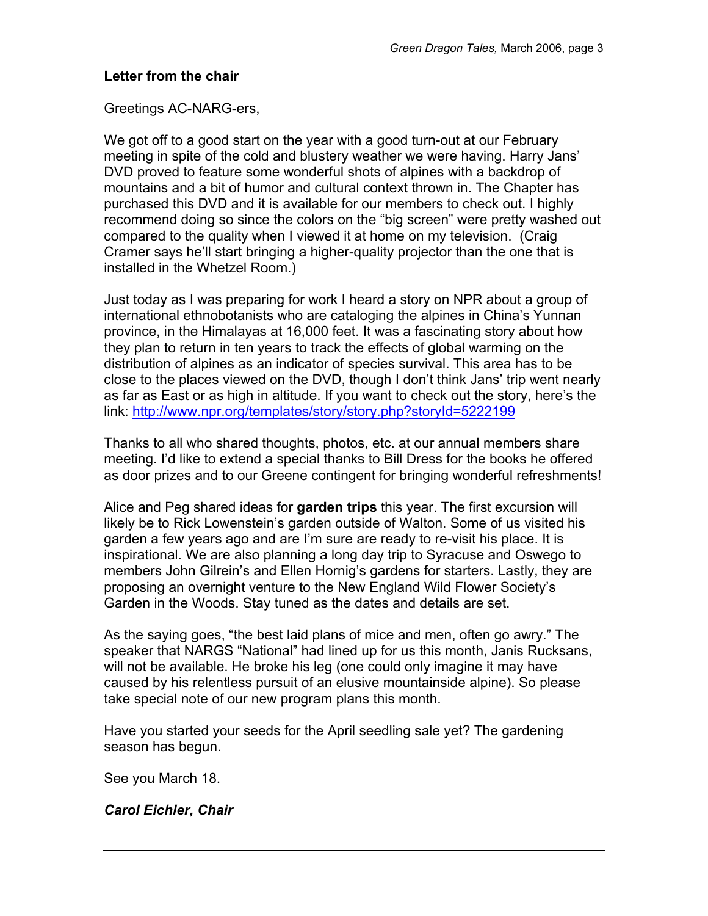#### **Letter from the chair**

Greetings AC-NARG-ers,

We got off to a good start on the year with a good turn-out at our February meeting in spite of the cold and blustery weather we were having. Harry Jans' DVD proved to feature some wonderful shots of alpines with a backdrop of mountains and a bit of humor and cultural context thrown in. The Chapter has purchased this DVD and it is available for our members to check out. I highly recommend doing so since the colors on the "big screen" were pretty washed out compared to the quality when I viewed it at home on my television. (Craig Cramer says he'll start bringing a higher-quality projector than the one that is installed in the Whetzel Room.)

Just today as I was preparing for work I heard a story on NPR about a group of international ethnobotanists who are cataloging the alpines in China's Yunnan province, in the Himalayas at 16,000 feet. It was a fascinating story about how they plan to return in ten years to track the effects of global warming on the distribution of alpines as an indicator of species survival. This area has to be close to the places viewed on the DVD, though I don't think Jans' trip went nearly as far as East or as high in altitude. If you want to check out the story, here's the link: http://www.npr.org/templates/story/story.php?storyId=5222199

Thanks to all who shared thoughts, photos, etc. at our annual members share meeting. I'd like to extend a special thanks to Bill Dress for the books he offered as door prizes and to our Greene contingent for bringing wonderful refreshments!

Alice and Peg shared ideas for **garden trips** this year. The first excursion will likely be to Rick Lowenstein's garden outside of Walton. Some of us visited his garden a few years ago and are I'm sure are ready to re-visit his place. It is inspirational. We are also planning a long day trip to Syracuse and Oswego to members John Gilrein's and Ellen Hornig's gardens for starters. Lastly, they are proposing an overnight venture to the New England Wild Flower Society's Garden in the Woods. Stay tuned as the dates and details are set.

As the saying goes, "the best laid plans of mice and men, often go awry." The speaker that NARGS "National" had lined up for us this month, Janis Rucksans, will not be available. He broke his leg (one could only imagine it may have caused by his relentless pursuit of an elusive mountainside alpine). So please take special note of our new program plans this month.

Have you started your seeds for the April seedling sale yet? The gardening season has begun.

See you March 18.

*Carol Eichler, Chair*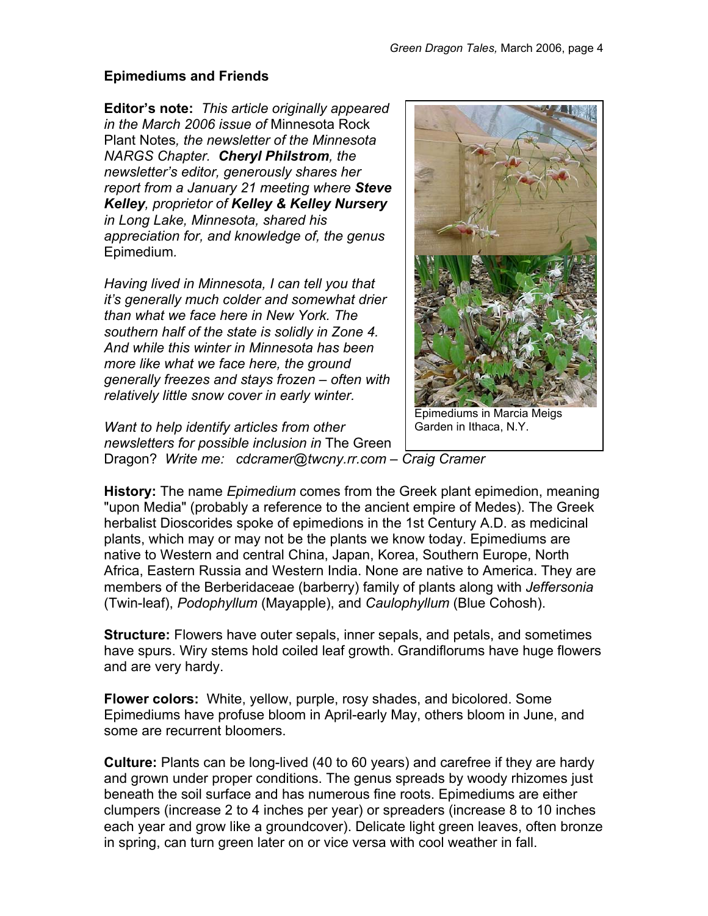### **Epimediums and Friends**

**Editor's note:** *This article originally appeared in the March 2006 issue of* Minnesota Rock Plant Notes*, the newsletter of the Minnesota NARGS Chapter. Cheryl Philstrom, the newsletter's editor, generously shares her report from a January 21 meeting where Steve Kelley, proprietor of Kelley & Kelley Nursery in Long Lake, Minnesota, shared his appreciation for, and knowledge of, the genus*  Epimedium*.* 

*Having lived in Minnesota, I can tell you that it's generally much colder and somewhat drier than what we face here in New York. The southern half of the state is solidly in Zone 4. And while this winter in Minnesota has been more like what we face here, the ground generally freezes and stays frozen – often with relatively little snow cover in early winter.* 

*Want to help identify articles from other newsletters for possible inclusion in* The Green Dragon? *Write me: cdcramer@twcny.rr.com – Craig Cramer* 

**History:** The name *Epimedium* comes from the Greek plant epimedion, meaning "upon Media" (probably a reference to the ancient empire of Medes). The Greek herbalist Dioscorides spoke of epimedions in the 1st Century A.D. as medicinal plants, which may or may not be the plants we know today. Epimediums are native to Western and central China, Japan, Korea, Southern Europe, North Africa, Eastern Russia and Western India. None are native to America. They are members of the Berberidaceae (barberry) family of plants along with *Jeffersonia* (Twin-leaf), *Podophyllum* (Mayapple), and *Caulophyllum* (Blue Cohosh).

**Structure:** Flowers have outer sepals, inner sepals, and petals, and sometimes have spurs. Wiry stems hold coiled leaf growth. Grandiflorums have huge flowers and are very hardy.

**Flower colors:** White, yellow, purple, rosy shades, and bicolored. Some Epimediums have profuse bloom in April-early May, others bloom in June, and some are recurrent bloomers.

**Culture:** Plants can be long-lived (40 to 60 years) and carefree if they are hardy and grown under proper conditions. The genus spreads by woody rhizomes just beneath the soil surface and has numerous fine roots. Epimediums are either clumpers (increase 2 to 4 inches per year) or spreaders (increase 8 to 10 inches each year and grow like a groundcover). Delicate light green leaves, often bronze in spring, can turn green later on or vice versa with cool weather in fall.



Epimediums in Marcia Meigs Garden in Ithaca, N.Y.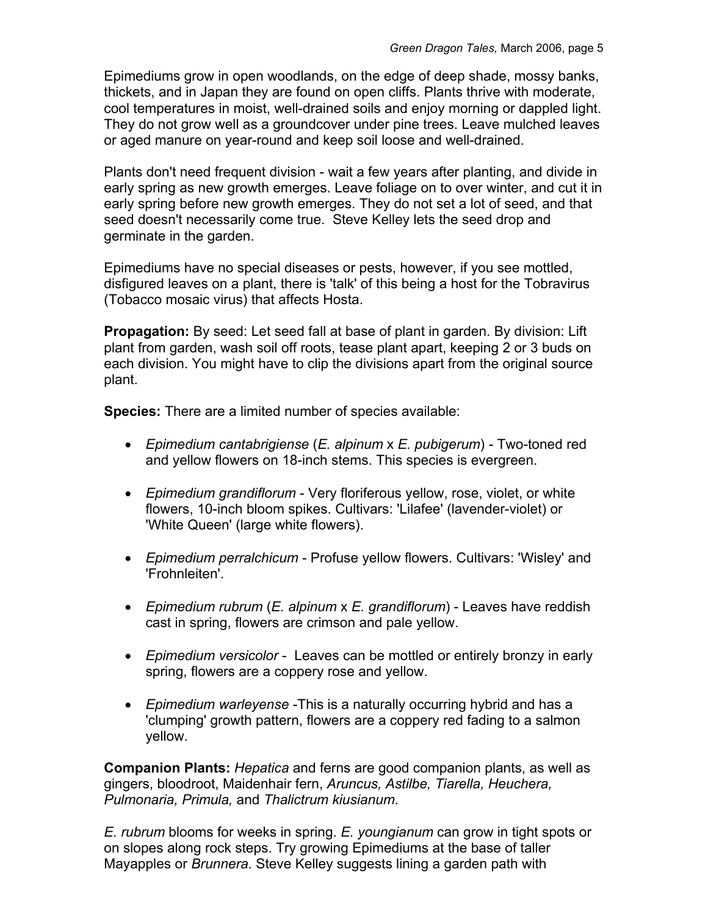Epimediums grow in open woodlands, on the edge of deep shade, mossy banks, thickets, and in Japan they are found on open cliffs. Plants thrive with moderate, cool temperatures in moist, well-drained soils and enjoy morning or dappled light. They do not grow well as a groundcover under pine trees. Leave mulched leaves or aged manure on year-round and keep soil loose and well-drained.

Plants don't need frequent division - wait a few years after planting, and divide in early spring as new growth emerges. Leave foliage on to over winter, and cut it in early spring before new growth emerges. They do not set a lot of seed, and that seed doesn't necessarily come true. Steve Kelley lets the seed drop and germinate in the garden.

Epimediums have no special diseases or pests, however, if you see mottled, disfigured leaves on a plant, there is 'talk' of this being a host for the Tobravirus (Tobacco mosaic virus) that affects Hosta.

**Propagation:** By seed: Let seed fall at base of plant in garden. By division: Lift plant from garden, wash soil off roots, tease plant apart, keeping 2 or 3 buds on each division. You might have to clip the divisions apart from the original source plant.

**Species:** There are a limited number of species available:

- *Epimedium cantabrigiense* (*E. alpinum* x *E. pubigerum*) Two-toned red and yellow flowers on 18-inch stems. This species is evergreen.
- *Epimedium grandiflorum* Very floriferous yellow, rose, violet, or white flowers, 10-inch bloom spikes. Cultivars: 'Lilafee' (lavender-violet) or 'White Queen' (large white flowers).
- *Epimedium perralchicum* Profuse yellow flowers. Cultivars: 'Wisley' and 'Frohnleiten'.
- *Epimedium rubrum* (*E. alpinum* x *E. grandiflorum*) Leaves have reddish cast in spring, flowers are crimson and pale yellow.
- *Epimedium versicolor* Leaves can be mottled or entirely bronzy in early spring, flowers are a coppery rose and yellow.
- *Epimedium warleyense* -This is a naturally occurring hybrid and has a 'clumping' growth pattern, flowers are a coppery red fading to a salmon yellow.

**Companion Plants:** *Hepatica* and ferns are good companion plants, as well as gingers, bloodroot, Maidenhair fern, *Aruncus, Astilbe, Tiarella, Heuchera, Pulmonaria, Primula,* and *Thalictrum kiusianum*.

*E. rubrum* blooms for weeks in spring. *E. youngianum* can grow in tight spots or on slopes along rock steps. Try growing Epimediums at the base of taller Mayapples or *Brunnera*. Steve Kelley suggests lining a garden path with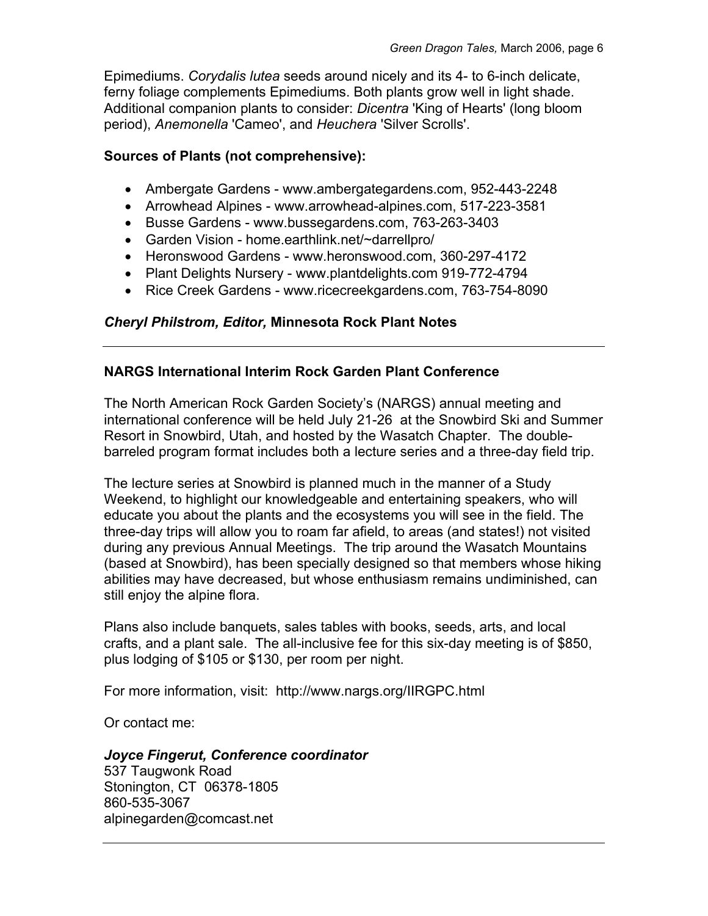Epimediums. *Corydalis lutea* seeds around nicely and its 4- to 6-inch delicate, ferny foliage complements Epimediums. Both plants grow well in light shade. Additional companion plants to consider: *Dicentra* 'King of Hearts' (long bloom period), *Anemonella* 'Cameo', and *Heuchera* 'Silver Scrolls'.

#### **Sources of Plants (not comprehensive):**

- Ambergate Gardens www.ambergategardens.com, 952-443-2248
- Arrowhead Alpines www.arrowhead-alpines.com, 517-223-3581
- Busse Gardens www.bussegardens.com, 763-263-3403
- Garden Vision home.earthlink.net/~darrellpro/
- Heronswood Gardens www.heronswood.com, 360-297-4172
- Plant Delights Nursery www.plantdelights.com 919-772-4794
- Rice Creek Gardens www.ricecreekgardens.com, 763-754-8090

### *Cheryl Philstrom, Editor,* **Minnesota Rock Plant Notes**

### **NARGS International Interim Rock Garden Plant Conference**

The North American Rock Garden Society's (NARGS) annual meeting and international conference will be held July 21-26 at the Snowbird Ski and Summer Resort in Snowbird, Utah, and hosted by the Wasatch Chapter. The doublebarreled program format includes both a lecture series and a three-day field trip.

The lecture series at Snowbird is planned much in the manner of a Study Weekend, to highlight our knowledgeable and entertaining speakers, who will educate you about the plants and the ecosystems you will see in the field. The three-day trips will allow you to roam far afield, to areas (and states!) not visited during any previous Annual Meetings. The trip around the Wasatch Mountains (based at Snowbird), has been specially designed so that members whose hiking abilities may have decreased, but whose enthusiasm remains undiminished, can still enjoy the alpine flora.

Plans also include banquets, sales tables with books, seeds, arts, and local crafts, and a plant sale. The all-inclusive fee for this six-day meeting is of \$850, plus lodging of \$105 or \$130, per room per night.

For more information, visit: http://www.nargs.org/IIRGPC.html

Or contact me:

# *Joyce Fingerut, Conference coordinator*

537 Taugwonk Road Stonington, CT 06378-1805 860-535-3067 alpinegarden@comcast.net